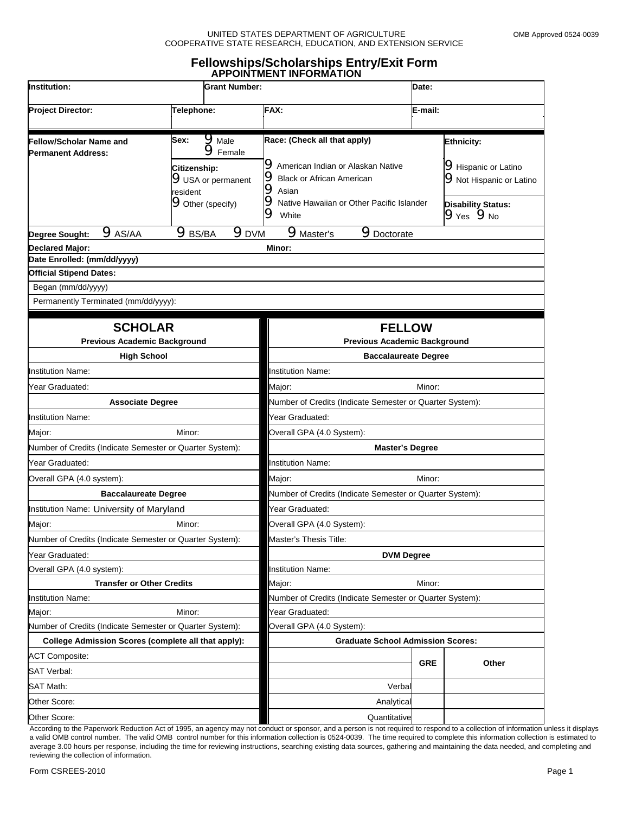#### UNITED STATES DEPARTMENT OF AGRICULTURE CONSIDER THE MOMB Approved 0524-0039 COOPERATIVE STATE RESEARCH, EDUCATION, AND EXTENSION SERVICE

#### **Fellowships/Scholarships Entry/Exit Form APPOINTMENT INFORMATION**

| Institution:<br>Project Director:<br>Telephone:                                                                                                       |                                  | <b>Grant Number:</b>                                                                                       |                                                                                                                                                                                                              |                                          | Date:      |                                                                                                                                               |  |
|-------------------------------------------------------------------------------------------------------------------------------------------------------|----------------------------------|------------------------------------------------------------------------------------------------------------|--------------------------------------------------------------------------------------------------------------------------------------------------------------------------------------------------------------|------------------------------------------|------------|-----------------------------------------------------------------------------------------------------------------------------------------------|--|
|                                                                                                                                                       |                                  | FAX:                                                                                                       |                                                                                                                                                                                                              |                                          | E-mail:    |                                                                                                                                               |  |
| <b>Fellow/Scholar Name and</b><br><b>Permanent Address:</b>                                                                                           | Sex:<br>Citizenship:<br>resident | $\mathbf{9}_{\text{Male}}$<br>$\mathbf{9}$ Female<br><b>9</b> USA or permanent<br><b>9</b> Other (specify) | Race: (Check all that apply)<br><b>9</b> American Indian or Alaskan Native<br><b>9</b> Black or African American<br>$\bullet$ Asian<br><b>9</b> Native Hawaiian or Other Pacific Islander<br>$\bullet$ White |                                          |            | <b>Ethnicity:</b><br><b>9</b> Hispanic or Latino<br><b>9</b> Not Hispanic or Latino<br><b>Disability Status:</b><br>$9$ Yes $9$ <sub>No</sub> |  |
| $9$ AS/AA<br>Degree Sought:                                                                                                                           | $\mathbf{9}_\text{BS/BA}$        | 9pVM                                                                                                       | <b>Master's</b>                                                                                                                                                                                              | <b>9</b> Doctorate                       |            |                                                                                                                                               |  |
| <b>Declared Major:</b><br>Date Enrolled: (mm/dd/yyyy)<br><b>Official Stipend Dates:</b><br>Began (mm/dd/yyyy)<br>Permanently Terminated (mm/dd/yyyy): |                                  |                                                                                                            | Minor:                                                                                                                                                                                                       |                                          |            |                                                                                                                                               |  |
| <b>SCHOLAR</b><br><b>Previous Academic Background</b>                                                                                                 |                                  |                                                                                                            | <b>FELLOW</b><br><b>Previous Academic Background</b>                                                                                                                                                         |                                          |            |                                                                                                                                               |  |
| <b>High School</b>                                                                                                                                    |                                  |                                                                                                            | <b>Baccalaureate Degree</b>                                                                                                                                                                                  |                                          |            |                                                                                                                                               |  |
| <b>Institution Name:</b>                                                                                                                              |                                  |                                                                                                            | <b>Institution Name:</b>                                                                                                                                                                                     |                                          |            |                                                                                                                                               |  |
| Year Graduated:                                                                                                                                       |                                  |                                                                                                            | Major:<br>Minor:                                                                                                                                                                                             |                                          |            |                                                                                                                                               |  |
| <b>Associate Degree</b>                                                                                                                               |                                  |                                                                                                            | Number of Credits (Indicate Semester or Quarter System):                                                                                                                                                     |                                          |            |                                                                                                                                               |  |
| <b>Institution Name:</b>                                                                                                                              |                                  |                                                                                                            | Year Graduated:                                                                                                                                                                                              |                                          |            |                                                                                                                                               |  |
| Major:                                                                                                                                                | Minor:                           |                                                                                                            |                                                                                                                                                                                                              | Overall GPA (4.0 System):                |            |                                                                                                                                               |  |
| Number of Credits (Indicate Semester or Quarter System):                                                                                              |                                  |                                                                                                            | <b>Master's Degree</b>                                                                                                                                                                                       |                                          |            |                                                                                                                                               |  |
| Year Graduated:                                                                                                                                       |                                  |                                                                                                            | <b>Institution Name:</b>                                                                                                                                                                                     |                                          |            |                                                                                                                                               |  |
| Overall GPA (4.0 system):                                                                                                                             |                                  |                                                                                                            | Major:<br>Minor:                                                                                                                                                                                             |                                          |            |                                                                                                                                               |  |
| <b>Baccalaureate Degree</b>                                                                                                                           |                                  |                                                                                                            | Number of Credits (Indicate Semester or Quarter System):                                                                                                                                                     |                                          |            |                                                                                                                                               |  |
| Institution Name: University of Maryland                                                                                                              |                                  |                                                                                                            | Year Graduated:                                                                                                                                                                                              |                                          |            |                                                                                                                                               |  |
| Major:<br>Minor:                                                                                                                                      |                                  |                                                                                                            | Overall GPA (4.0 System):                                                                                                                                                                                    |                                          |            |                                                                                                                                               |  |
| Number of Credits (Indicate Semester or Quarter System):                                                                                              |                                  |                                                                                                            | Master's Thesis Title:                                                                                                                                                                                       |                                          |            |                                                                                                                                               |  |
| Year Graduated:                                                                                                                                       |                                  |                                                                                                            | <b>DVM Degree</b>                                                                                                                                                                                            |                                          |            |                                                                                                                                               |  |
| Overall GPA (4.0 system):                                                                                                                             |                                  |                                                                                                            | <b>Institution Name:</b>                                                                                                                                                                                     |                                          |            |                                                                                                                                               |  |
| <b>Transfer or Other Credits</b>                                                                                                                      |                                  |                                                                                                            | Minor:<br>Major:                                                                                                                                                                                             |                                          |            |                                                                                                                                               |  |
| <b>Institution Name:</b>                                                                                                                              |                                  |                                                                                                            | Number of Credits (Indicate Semester or Quarter System):                                                                                                                                                     |                                          |            |                                                                                                                                               |  |
| Major:                                                                                                                                                | Minor:                           |                                                                                                            | Year Graduated:                                                                                                                                                                                              |                                          |            |                                                                                                                                               |  |
| Number of Credits (Indicate Semester or Quarter System):                                                                                              |                                  |                                                                                                            | Overall GPA (4.0 System):                                                                                                                                                                                    |                                          |            |                                                                                                                                               |  |
| College Admission Scores (complete all that apply):                                                                                                   |                                  |                                                                                                            |                                                                                                                                                                                                              | <b>Graduate School Admission Scores:</b> |            |                                                                                                                                               |  |
| <b>ACT Composite:</b>                                                                                                                                 |                                  |                                                                                                            |                                                                                                                                                                                                              |                                          | <b>GRE</b> | Other                                                                                                                                         |  |
| <b>SAT Verbal:</b>                                                                                                                                    |                                  |                                                                                                            |                                                                                                                                                                                                              |                                          |            |                                                                                                                                               |  |
| <b>SAT Math:</b>                                                                                                                                      |                                  |                                                                                                            |                                                                                                                                                                                                              | Verbal                                   |            |                                                                                                                                               |  |
| Other Score:                                                                                                                                          |                                  |                                                                                                            |                                                                                                                                                                                                              | Analytical                               |            |                                                                                                                                               |  |
| Other Score:                                                                                                                                          |                                  |                                                                                                            |                                                                                                                                                                                                              | Quantitative                             |            |                                                                                                                                               |  |

According to the Paperwork Reduction Act of 1995, an agency may not conduct or sponsor, and a person is not required to respond to a collection of information unless it displays a valid OMB control number. The valid OMB control number for this information collection is 0524-0039. The time required to complete this information collection is estimated to average 3.00 hours per response, including the time for reviewing instructions, searching existing data sources, gathering and maintaining the data needed, and completing and reviewing the collection of information.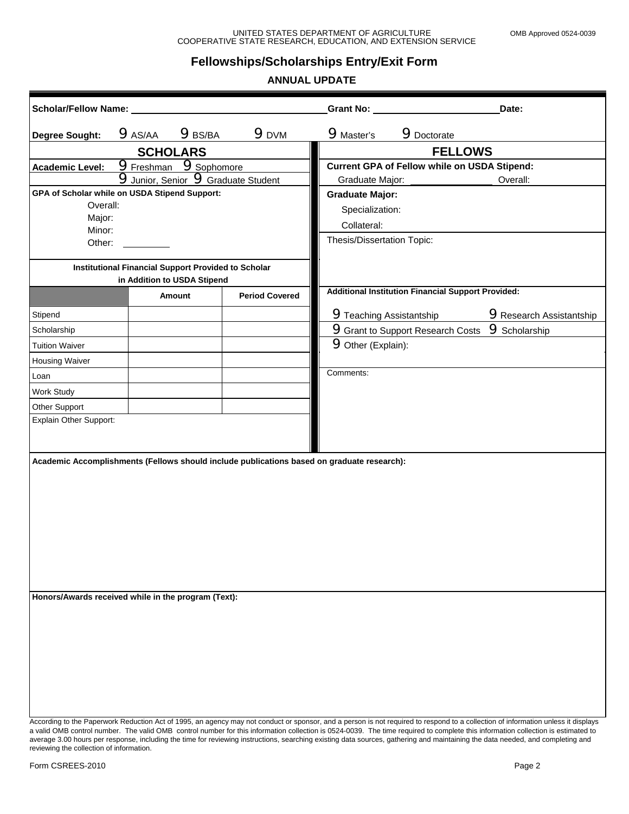## **Fellowships/Scholarships Entry/Exit Form**

### **ANNUAL UPDATE**

| Scholar/Fellow Name:                                |                                                                                           |                   |                                            | Grant No: North State State State State State State State State State State State State State State State State State State State State State State State State State State State State State State State State State State St |                    | Date:                                                                                                                                                                                                                                                                                                                                                                 |
|-----------------------------------------------------|-------------------------------------------------------------------------------------------|-------------------|--------------------------------------------|--------------------------------------------------------------------------------------------------------------------------------------------------------------------------------------------------------------------------------|--------------------|-----------------------------------------------------------------------------------------------------------------------------------------------------------------------------------------------------------------------------------------------------------------------------------------------------------------------------------------------------------------------|
| <b>Degree Sought:</b>                               | $9$ AS/AA                                                                                 | 9B <sub>BSK</sub> | $9$ <sub>DVM</sub>                         | <b>9</b> Master's                                                                                                                                                                                                              | <b>9</b> Doctorate |                                                                                                                                                                                                                                                                                                                                                                       |
|                                                     | <b>SCHOLARS</b>                                                                           |                   |                                            |                                                                                                                                                                                                                                | <b>FELLOWS</b>     |                                                                                                                                                                                                                                                                                                                                                                       |
| <b>Academic Level:</b>                              | <b>9</b> Freshman 9Sophomore                                                              |                   |                                            | <b>Current GPA of Fellow while on USDA Stipend:</b>                                                                                                                                                                            |                    |                                                                                                                                                                                                                                                                                                                                                                       |
|                                                     |                                                                                           |                   | <b>9</b> Junior, Senior 9 Graduate Student | Graduate Major:                                                                                                                                                                                                                |                    | Overall:                                                                                                                                                                                                                                                                                                                                                              |
| GPA of Scholar while on USDA Stipend Support:       |                                                                                           |                   |                                            | <b>Graduate Major:</b>                                                                                                                                                                                                         |                    |                                                                                                                                                                                                                                                                                                                                                                       |
| Overall:                                            |                                                                                           |                   |                                            | Specialization:                                                                                                                                                                                                                |                    |                                                                                                                                                                                                                                                                                                                                                                       |
| Major:<br>Minor:                                    |                                                                                           |                   |                                            | Collateral:                                                                                                                                                                                                                    |                    |                                                                                                                                                                                                                                                                                                                                                                       |
| Other:                                              |                                                                                           |                   |                                            | Thesis/Dissertation Topic:                                                                                                                                                                                                     |                    |                                                                                                                                                                                                                                                                                                                                                                       |
|                                                     | <b>Institutional Financial Support Provided to Scholar</b><br>in Addition to USDA Stipend |                   |                                            |                                                                                                                                                                                                                                |                    |                                                                                                                                                                                                                                                                                                                                                                       |
|                                                     |                                                                                           | Amount            | <b>Period Covered</b>                      | <b>Additional Institution Financial Support Provided:</b>                                                                                                                                                                      |                    |                                                                                                                                                                                                                                                                                                                                                                       |
| Stipend                                             |                                                                                           |                   |                                            | <b>9</b> Teaching Assistantship                                                                                                                                                                                                |                    | <b>9</b> Research Assistantship                                                                                                                                                                                                                                                                                                                                       |
| Scholarship                                         |                                                                                           |                   |                                            | <b>9</b> Grant to Support Research Costs                                                                                                                                                                                       |                    | <b>9</b> Scholarship                                                                                                                                                                                                                                                                                                                                                  |
| <b>Tuition Waiver</b>                               |                                                                                           |                   |                                            | <b>9</b> Other (Explain):                                                                                                                                                                                                      |                    |                                                                                                                                                                                                                                                                                                                                                                       |
| <b>Housing Waiver</b>                               |                                                                                           |                   |                                            |                                                                                                                                                                                                                                |                    |                                                                                                                                                                                                                                                                                                                                                                       |
| Loan                                                |                                                                                           |                   |                                            | Comments:                                                                                                                                                                                                                      |                    |                                                                                                                                                                                                                                                                                                                                                                       |
| Work Study                                          |                                                                                           |                   |                                            |                                                                                                                                                                                                                                |                    |                                                                                                                                                                                                                                                                                                                                                                       |
| Other Support                                       |                                                                                           |                   |                                            |                                                                                                                                                                                                                                |                    |                                                                                                                                                                                                                                                                                                                                                                       |
| Explain Other Support:                              |                                                                                           |                   |                                            |                                                                                                                                                                                                                                |                    |                                                                                                                                                                                                                                                                                                                                                                       |
| Honors/Awards received while in the program (Text): |                                                                                           |                   |                                            | Academic Accomplishments (Fellows should include publications based on graduate research):                                                                                                                                     |                    |                                                                                                                                                                                                                                                                                                                                                                       |
|                                                     |                                                                                           |                   |                                            |                                                                                                                                                                                                                                |                    | According to the Paperwork Reduction Act of 1995, an agency may not conduct or sponsor, and a person is not required to respond to a collection of information unless it displays<br>a valid OMB control number. The valid OMB control number for this information collection is 0524-0039. The time required to complete this information collection is estimated to |

a valid OMB control number. The valid OMB control number for this information collection is 0524-0039. The time required to complete this information collection is estimated to average 3.00 hours per response, including the time for reviewing instructions, searching existing data sources, gathering and maintaining the data needed, and completing and reviewing the collection of information.